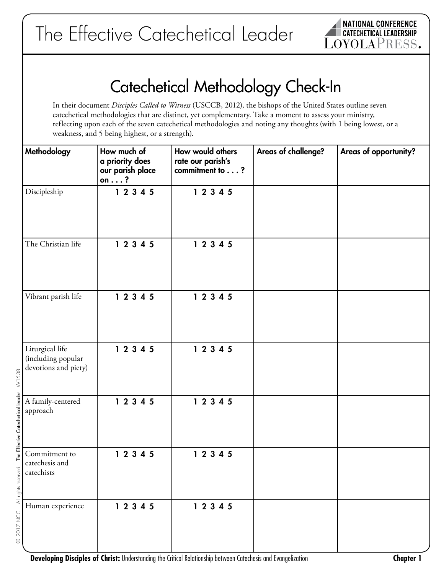

# Catechetical Methodology Check-In

In their document *Disciples Called to Witness* (USCCB, 2012), the bishops of the United States outline seven catechetical methodologies that are distinct, yet complementary. Take a moment to assess your ministry, reflecting upon each of the seven catechetical methodologies and noting any thoughts (with 1 being lowest, or a weakness, and 5 being highest, or a strength).

| Methodology                                                   | How much of<br>a priority does<br>our parish place<br>on $\dots$ ? | How would others<br>rate our parish's<br>commitment to? | Areas of challenge? | Areas of opportunity? |
|---------------------------------------------------------------|--------------------------------------------------------------------|---------------------------------------------------------|---------------------|-----------------------|
| Discipleship                                                  | 1 2 3 4 5                                                          | 12345                                                   |                     |                       |
| The Christian life                                            | 12345                                                              | 12345                                                   |                     |                       |
| Vibrant parish life                                           | 12345                                                              | 12345                                                   |                     |                       |
| Liturgical life<br>(including popular<br>devotions and piety) | 12345                                                              | 12345                                                   |                     |                       |
| A family-centered<br>approach                                 | 12345                                                              | 12345                                                   |                     |                       |
| Commitment to<br>catechesis and<br>catechists                 | 12345                                                              | 12345                                                   |                     |                       |
| Human experience                                              | 12345                                                              | 12345                                                   |                     |                       |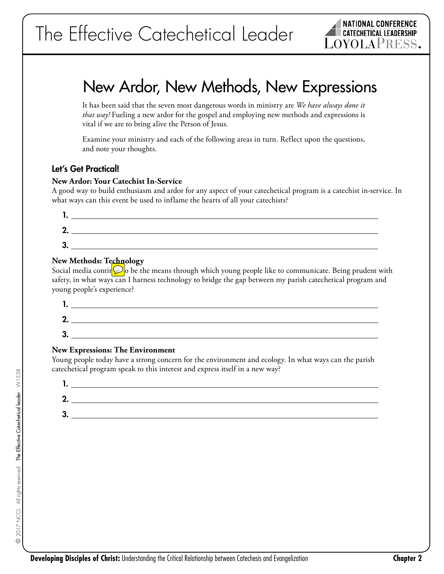

# New Ardor, New Methods, New Expressions

It has been said that the seven most dangerous words in ministry are *We have always done it that way!* Fueling a new ardor for the gospel and employing new methods and expressions is vital if we are to bring alive the Person of Jesus.

Examine your ministry and each of the following areas in turn. Reflect upon the questions, and note your thoughts.

## Let's Get Practical!

#### **New Ardor: Your Catechist In-Service**

A good way to build enthusiasm and ardor for any aspect of your catechetical program is a catechist in-service. In what ways can this event be used to inflame the hearts of all your catechists?

| . .     |  |
|---------|--|
| Λ<br>٠. |  |
| 3.      |  |
|         |  |

### **New Methods: Technology**

Social media contin  $\omega$  o be the means through which young people like to communicate. Being prudent with safety, in what ways can I harness technology to bridge the gap between my parish catechetical program and young people's experience?

| ٠. |  |
|----|--|
| 2. |  |
| 3. |  |

### **New Expressions: The Environment**

Young people today have a strong concern for the environment and ecology. In what ways can the parish catechetical program speak to this interest and express itself in a new way?

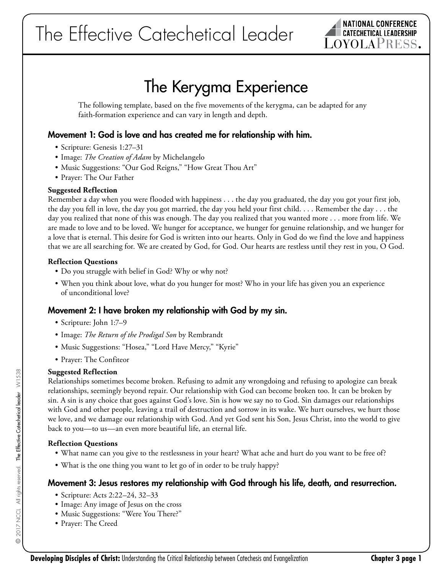

# The Kerygma Experience

The following template, based on the five movements of the kerygma, can be adapted for any faith-formation experience and can vary in length and depth.

## Movement 1: God is love and has created me for relationship with him.

- Scripture: Genesis 1:27–31
- Image: *The Creation of Adam* by Michelangelo
- Music Suggestions: "Our God Reigns," "How Great Thou Art"
- Prayer: The Our Father

#### **Suggested Reflection**

Remember a day when you were flooded with happiness . . . the day you graduated, the day you got your first job, the day you fell in love, the day you got married, the day you held your first child. . . . Remember the day . . . the day you realized that none of this was enough. The day you realized that you wanted more . . . more from life. We are made to love and to be loved. We hunger for acceptance, we hunger for genuine relationship, and we hunger for a love that is eternal. This desire for God is written into our hearts. Only in God do we find the love and happiness that we are all searching for. We are created by God, for God. Our hearts are restless until they rest in you, O God.

#### **Reflection Questions**

- Do you struggle with belief in God? Why or why not?
- When you think about love, what do you hunger for most? Who in your life has given you an experience of unconditional love?

## Movement 2: I have broken my relationship with God by my sin.

- Scripture: John 1:7–9
- Image: *The Return of the Prodigal Son* by Rembrandt
- Music Suggestions: "Hosea," "Lord Have Mercy," "Kyrie"
- Prayer: The Confiteor

#### **Suggested Reflection**

Relationships sometimes become broken. Refusing to admit any wrongdoing and refusing to apologize can break relationships, seemingly beyond repair. Our relationship with God can become broken too. It can be broken by sin. A sin is any choice that goes against God's love. Sin is how we say no to God. Sin damages our relationships with God and other people, leaving a trail of destruction and sorrow in its wake. We hurt ourselves, we hurt those we love, and we damage our relationship with God. And yet God sent his Son, Jesus Christ, into the world to give back to you—to us—an even more beautiful life, an eternal life.

#### **Reflection Questions**

- What name can you give to the restlessness in your heart? What ache and hurt do you want to be free of?
- What is the one thing you want to let go of in order to be truly happy?

## Movement 3: Jesus restores my relationship with God through his life, death, and resurrection.

- Scripture: Acts 2:22–24, 32–33
- Image: Any image of Jesus on the cross
- Music Suggestions: "Were You There?"
- Prayer: The Creed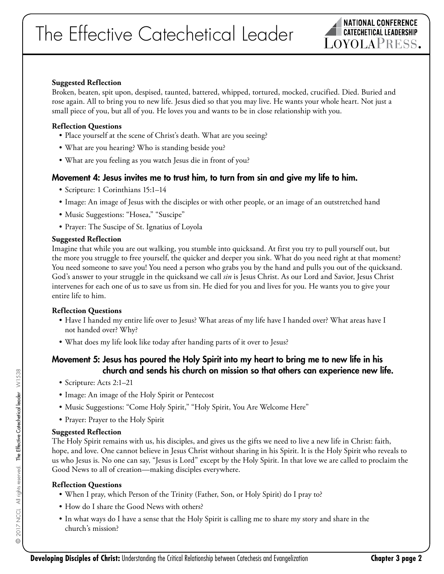

#### **Suggested Reflection**

Broken, beaten, spit upon, despised, taunted, battered, whipped, tortured, mocked, crucified. Died. Buried and rose again. All to bring you to new life. Jesus died so that you may live. He wants your whole heart. Not just a small piece of you, but all of you. He loves you and wants to be in close relationship with you.

#### **Reflection Questions**

- Place yourself at the scene of Christ's death. What are you seeing?
- What are you hearing? Who is standing beside you?
- What are you feeling as you watch Jesus die in front of you?

## Movement 4: Jesus invites me to trust him, to turn from sin and give my life to him.

- Scripture: 1 Corinthians 15:1–14
- Image: An image of Jesus with the disciples or with other people, or an image of an outstretched hand
- Music Suggestions: "Hosea," "Suscipe"
- Prayer: The Suscipe of St. Ignatius of Loyola

#### **Suggested Reflection**

Imagine that while you are out walking, you stumble into quicksand. At first you try to pull yourself out, but the more you struggle to free yourself, the quicker and deeper you sink. What do you need right at that moment? You need someone to save you! You need a person who grabs you by the hand and pulls you out of the quicksand. God's answer to your struggle in the quicksand we call *sin* is Jesus Christ. As our Lord and Savior, Jesus Christ intervenes for each one of us to save us from sin. He died for you and lives for you. He wants you to give your entire life to him.

#### **Reflection Questions**

- Have I handed my entire life over to Jesus? What areas of my life have I handed over? What areas have I not handed over? Why?
- What does my life look like today after handing parts of it over to Jesus?

# Movement 5: Jesus has poured the Holy Spirit into my heart to bring me to new life in his church and sends his church on mission so that others can experience new life.

- Scripture: Acts 2:1–21
- Image: An image of the Holy Spirit or Pentecost
- Music Suggestions: "Come Holy Spirit," "Holy Spirit, You Are Welcome Here"
- Prayer: Prayer to the Holy Spirit

### **Suggested Reflection**

The Holy Spirit remains with us, his disciples, and gives us the gifts we need to live a new life in Christ: faith, hope, and love. One cannot believe in Jesus Christ without sharing in his Spirit. It is the Holy Spirit who reveals to us who Jesus is. No one can say, "Jesus is Lord" except by the Holy Spirit. In that love we are called to proclaim the Good News to all of creation—making disciples everywhere.

### **Reflection Questions**

- When I pray, which Person of the Trinity (Father, Son, or Holy Spirit) do I pray to?
- How do I share the Good News with others?
- In what ways do I have a sense that the Holy Spirit is calling me to share my story and share in the church's mission?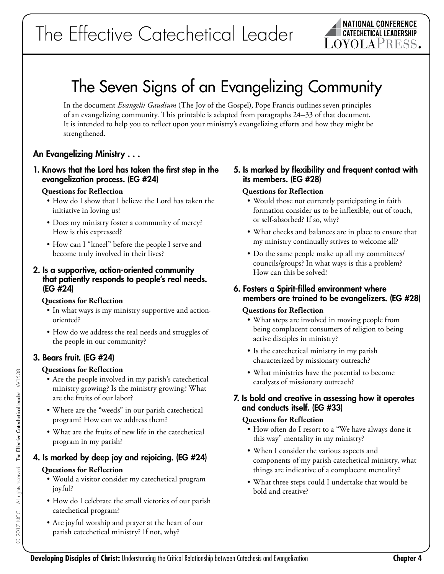# The Seven Signs of an Evangelizing Community

In the document *Evangelii Gaudium* (The Joy of the Gospel), Pope Francis outlines seven principles of an evangelizing community. This printable is adapted from paragraphs 24–33 of that document. It is intended to help you to reflect upon your ministry's evangelizing efforts and how they might be strengthened.

# An Evangelizing Ministry . . .

### 1. Knows that the Lord has taken the first step in the evangelization process. (EG #24)

#### **Questions for Reflection**

- How do I show that I believe the Lord has taken the initiative in loving us?
- Does my ministry foster a community of mercy? How is this expressed?
- How can I "kneel" before the people I serve and become truly involved in their lives?

#### 2. Is a supportive, action-oriented community that patiently responds to people's real needs. (EG #24)

### **Questions for Reflection**

- In what ways is my ministry supportive and actionoriented?
- How do we address the real needs and struggles of the people in our community?

# 3. Bears fruit. (EG #24)

## **Questions for Reflection**

- Are the people involved in my parish's catechetical ministry growing? Is the ministry growing? What are the fruits of our labor?
- Where are the "weeds" in our parish catechetical program? How can we address them?
- What are the fruits of new life in the catechetical program in my parish?

# 4. Is marked by deep joy and rejoicing. (EG #24)

## **Questions for Reflection**

- Would a visitor consider my catechetical program joyful?
- How do I celebrate the small victories of our parish catechetical program?
- Are joyful worship and prayer at the heart of our parish catechetical ministry? If not, why?

## 5. Is marked by flexibility and frequent contact with its members. (EG #28)

## **Questions for Reflection**

- Would those not currently participating in faith formation consider us to be inflexible, out of touch, or self-absorbed? If so, why?
- What checks and balances are in place to ensure that my ministry continually strives to welcome all?
- Do the same people make up all my committees/ councils/groups? In what ways is this a problem? How can this be solved?

# 6. Fosters a Spirit-filled environment where members are trained to be evangelizers. (EG #28)

### **Questions for Reflection**

- What steps are involved in moving people from being complacent consumers of religion to being active disciples in ministry?
- Is the catechetical ministry in my parish characterized by missionary outreach?
- What ministries have the potential to become catalysts of missionary outreach?

## 7. Is bold and creative in assessing how it operates and conducts itself. (EG #33)

### **Questions for Reflection**

- How often do I resort to a "We have always done it this way" mentality in my ministry?
- When I consider the various aspects and components of my parish catechetical ministry, what things are indicative of a complacent mentality?
- What three steps could I undertake that would be bold and creative?

 $\odot$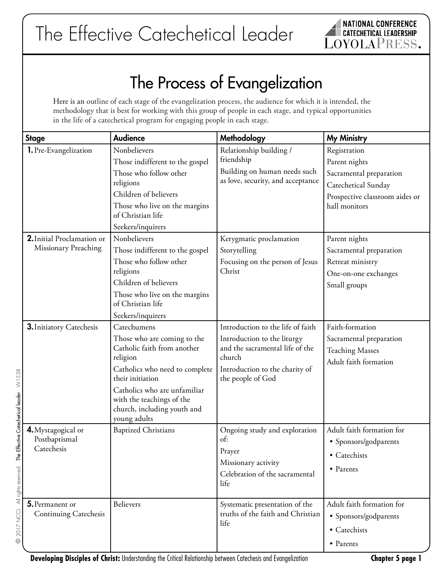# The Process of Evangelization

Here is an outline of each stage of the evangelization process, the audience for which it is intended, the methodology that is best for working with this group of people in each stage, and typical opportunities in the life of a catechetical program for engaging people in each stage.

| <b>Stage</b>                                                                    | <b>Audience</b>                                                                                                                                                                                                                                         | Methodology                                                                                                                                                          | <b>My Ministry</b>                                                                                                                 |
|---------------------------------------------------------------------------------|---------------------------------------------------------------------------------------------------------------------------------------------------------------------------------------------------------------------------------------------------------|----------------------------------------------------------------------------------------------------------------------------------------------------------------------|------------------------------------------------------------------------------------------------------------------------------------|
| 1. Pre-Evangelization                                                           | Nonbelievers<br>Those indifferent to the gospel<br>Those who follow other<br>religions<br>Children of believers<br>Those who live on the margins<br>of Christian life<br>Seekers/inquirers                                                              | Relationship building /<br>friendship<br>Building on human needs such<br>as love, security, and acceptance                                                           | Registration<br>Parent nights<br>Sacramental preparation<br>Catechetical Sunday<br>Prospective classroom aides or<br>hall monitors |
| 2. Initial Proclamation or<br>Missionary Preaching                              | Nonbelievers<br>Those indifferent to the gospel<br>Those who follow other<br>religions<br>Children of believers<br>Those who live on the margins<br>of Christian life<br>Seekers/inquirers                                                              | Kerygmatic proclamation<br>Storytelling<br>Focusing on the person of Jesus<br>Christ                                                                                 | Parent nights<br>Sacramental preparation<br>Retreat ministry<br>One-on-one exchanges<br>Small groups                               |
| 3. Initiatory Catechesis<br>Effective Catechetical leader W1538                 | Catechumens<br>Those who are coming to the<br>Catholic faith from another<br>religion<br>Catholics who need to complete<br>their initiation<br>Catholics who are unfamiliar<br>with the teachings of the<br>church, including youth and<br>young adults | Introduction to the life of faith<br>Introduction to the liturgy<br>and the sacramental life of the<br>church<br>Introduction to the charity of<br>the people of God | Faith-formation<br>Sacramental preparation<br><b>Teaching Masses</b><br>Adult faith formation                                      |
| 4. Mystagogical or<br>Postbaptismal<br>Catechesis<br>۴e<br>All rights reserved. | <b>Baptized Christians</b>                                                                                                                                                                                                                              | Ongoing study and exploration<br>of:<br>Prayer<br>Missionary activity<br>Celebration of the sacramental<br>life                                                      | Adult faith formation for<br>· Sponsors/godparents<br>• Catechists<br>• Parents                                                    |
| 5. Permanent or<br>2017 NCCL<br><b>Continuing Catechesis</b><br>$^{\circ}$      | <b>Believers</b>                                                                                                                                                                                                                                        | Systematic presentation of the<br>truths of the faith and Christian<br>life                                                                                          | Adult faith formation for<br>· Sponsors/godparents<br>• Catechists<br>• Parents                                                    |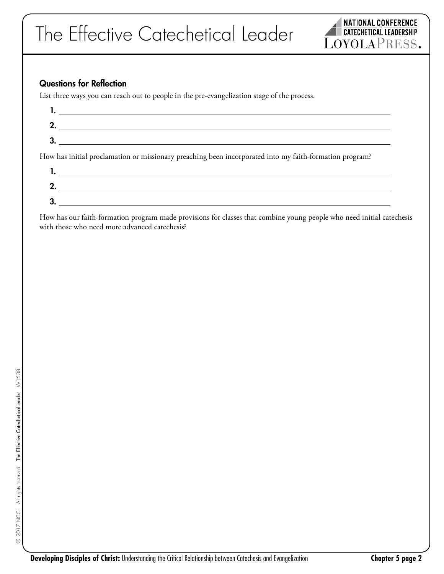

# Questions for Reflection

List three ways you can reach out to people in the pre-evangelization stage of the process.

| $\mathcal{L}=\frac{1}{\sqrt{2\pi}}\left(\frac{1}{\sqrt{2\pi}}\right)^{2\sqrt{2}}\left(\frac{1}{\sqrt{2\pi}}\right)^{2\sqrt{2}}\left(\frac{1}{\sqrt{2\pi}}\right)^{2\sqrt{2}}\left(\frac{1}{\sqrt{2\pi}}\right)^{2\sqrt{2}}\left(\frac{1}{\sqrt{2\pi}}\right)^{2\sqrt{2}}\left(\frac{1}{\sqrt{2\pi}}\right)^{2\sqrt{2}}\left(\frac{1}{\sqrt{2\pi}}\right)^{2\sqrt{2}}\left(\frac{1}{\sqrt{2\pi}}\right)^{2\sqrt{2}}\left(\frac{1}{\sqrt{$ |
|------------------------------------------------------------------------------------------------------------------------------------------------------------------------------------------------------------------------------------------------------------------------------------------------------------------------------------------------------------------------------------------------------------------------------------------|
|                                                                                                                                                                                                                                                                                                                                                                                                                                          |
| How has initial proclamation or missionary preaching been incorporated into my faith-formation program?                                                                                                                                                                                                                                                                                                                                  |
|                                                                                                                                                                                                                                                                                                                                                                                                                                          |
| <u> 1989 - Johann Johann Stoff, deutscher Stoffen und der Stoffen und der Stoffen und der Stoffen und der Stoffen</u>                                                                                                                                                                                                                                                                                                                    |

How has our faith-formation program made provisions for classes that combine young people who need initial catechesis with those who need more advanced catechesis?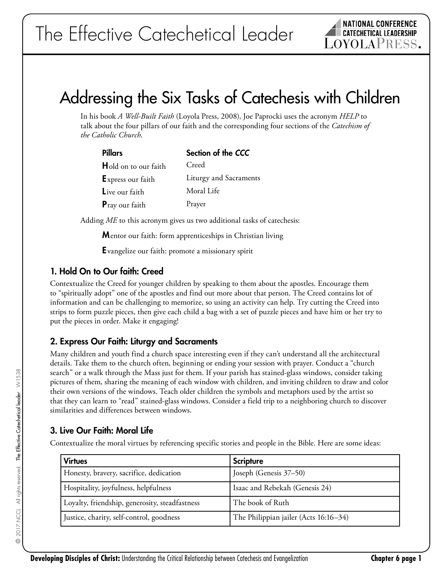

# Addressing the Six Tasks of Catechesis with Children

In his book *A Well-Built Faith* (Loyola Press, 2008), Joe Paprocki uses the acronym *HELP* to talk about the four pillars of our faith and the corresponding four sections of the *Catechism of the Catholic Church*.

| Pillars                     | Section of the CCC     |
|-----------------------------|------------------------|
| <b>Hold on to our faith</b> | Creed                  |
| <b>Express our faith</b>    | Liturgy and Sacraments |
| Live our faith              | Moral Life             |
| <b>P</b> ray our faith      | Prayer                 |

Adding *ME* to this acronym gives us two additional tasks of catechesis:

**M**entor our faith: form apprenticeships in Christian living

Evangelize our faith: promote a missionary spirit

## 1. Hold On to Our faith: Creed

Contextualize the Creed for younger children by speaking to them about the apostles. Encourage them to "spiritually adopt" one of the apostles and find out more about that person. The Creed contains lot of information and can be challenging to memorize, so using an activity can help. Try cutting the Creed into strips to form puzzle pieces, then give each child a bag with a set of puzzle pieces and have him or her try to put the pieces in order. Make it engaging!

# 2. Express Our Faith: Liturgy and Sacraments

Many children and youth find a church space interesting even if they can't understand all the architectural details. Take them to the church often, beginning or ending your session with prayer. Conduct a "church search" or a walk through the Mass just for them. If your parish has stained-glass windows, consider taking pictures of them, sharing the meaning of each window with children, and inviting children to draw and color their own versions of the windows. Teach older children the symbols and metaphors used by the artist so that they can learn to "read" stained-glass windows. Consider a field trip to a neighboring church to discover similarities and differences between windows.

# 3. Live Our Faith: Moral Life

Contextualize the moral virtues by referencing specific stories and people in the Bible. Here are some ideas:

| <b>Virtues</b>                                 | <b>Scripture</b>                      |
|------------------------------------------------|---------------------------------------|
| Honesty, bravery, sacrifice, dedication        | Joseph (Genesis 37–50)                |
| Hospitality, joyfulness, helpfulness           | Isaac and Rebekah (Genesis 24)        |
| Loyalty, friendship, generosity, steadfastness | The book of Ruth                      |
| Justice, charity, self-control, goodness       | The Philippian jailer (Acts 16:16–34) |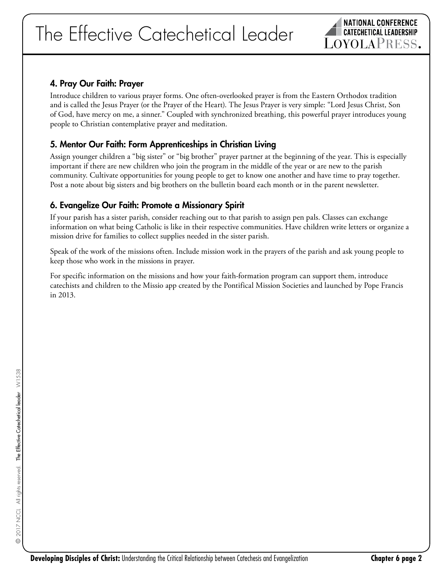# The Effective Catechetical Leader



# 4. Pray Our Faith: Prayer

Introduce children to various prayer forms. One often-overlooked prayer is from the Eastern Orthodox tradition and is called the Jesus Prayer (or the Prayer of the Heart). The Jesus Prayer is very simple: "Lord Jesus Christ, Son of God, have mercy on me, a sinner." Coupled with synchronized breathing, this powerful prayer introduces young people to Christian contemplative prayer and meditation.

# 5. Mentor Our Faith: Form Apprenticeships in Christian Living

Assign younger children a "big sister" or "big brother" prayer partner at the beginning of the year. This is especially important if there are new children who join the program in the middle of the year or are new to the parish community. Cultivate opportunities for young people to get to know one another and have time to pray together. Post a note about big sisters and big brothers on the bulletin board each month or in the parent newsletter.

# 6. Evangelize Our Faith: Promote a Missionary Spirit

If your parish has a sister parish, consider reaching out to that parish to assign pen pals. Classes can exchange information on what being Catholic is like in their respective communities. Have children write letters or organize a mission drive for families to collect supplies needed in the sister parish.

Speak of the work of the missions often. Include mission work in the prayers of the parish and ask young people to keep those who work in the missions in prayer.

For specific information on the missions and how your faith-formation program can support them, introduce catechists and children to the Missio app created by the Pontifical Mission Societies and launched by Pope Francis in 2013.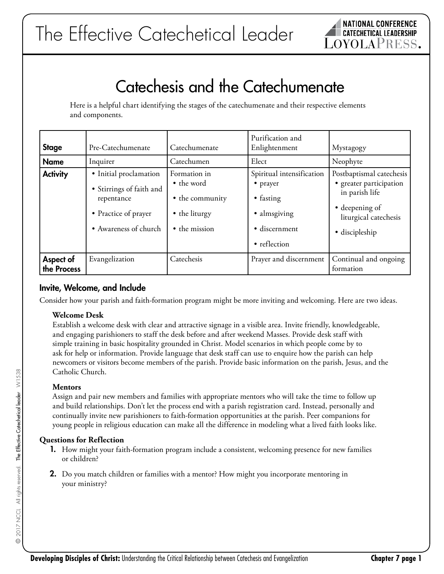

# Catechesis and the Catechumenate

Here is a helpful chart identifying the stages of the catechumenate and their respective elements and components.

| <b>Stage</b>             | Pre-Catechumenate                                                                                                 | Catechumenate                                                                   | Purification and<br>Enlightenment                                                                   | Mystagogy                                                                                                                          |
|--------------------------|-------------------------------------------------------------------------------------------------------------------|---------------------------------------------------------------------------------|-----------------------------------------------------------------------------------------------------|------------------------------------------------------------------------------------------------------------------------------------|
| <b>Name</b>              | Inquirer                                                                                                          | Catechumen                                                                      | Elect                                                                                               | Neophyte                                                                                                                           |
| <b>Activity</b>          | · Initial proclamation<br>• Stirrings of faith and<br>repentance<br>• Practice of prayer<br>• Awareness of church | Formation in<br>• the word<br>• the community<br>• the liturgy<br>• the mission | Spiritual intensification<br>• prayer<br>• fasting<br>• almsgiving<br>· discernment<br>• reflection | Postbaptismal catechesis<br>· greater participation<br>in parish life<br>• deepening of<br>liturgical catechesis<br>· discipleship |
| Aspect of<br>the Process | Evangelization                                                                                                    | Catechesis                                                                      | Prayer and discernment                                                                              | Continual and ongoing<br>formation                                                                                                 |

## Invite, Welcome, and Include

Consider how your parish and faith-formation program might be more inviting and welcoming. Here are two ideas.

### **Welcome Desk**

Establish a welcome desk with clear and attractive signage in a visible area. Invite friendly, knowledgeable, and engaging parishioners to staff the desk before and after weekend Masses. Provide desk staff with simple training in basic hospitality grounded in Christ. Model scenarios in which people come by to ask for help or information. Provide language that desk staff can use to enquire how the parish can help newcomers or visitors become members of the parish. Provide basic information on the parish, Jesus, and the Catholic Church.

### **Mentors**

Assign and pair new members and families with appropriate mentors who will take the time to follow up and build relationships. Don't let the process end with a parish registration card. Instead, personally and continually invite new parishioners to faith-formation opportunities at the parish. Peer companions for young people in religious education can make all the difference in modeling what a lived faith looks like.

### **Questions for Reflection**

- 1. How might your faith-formation program include a consistent, welcoming presence for new families or children?
- 2. Do you match children or families with a mentor? How might you incorporate mentoring in your ministry?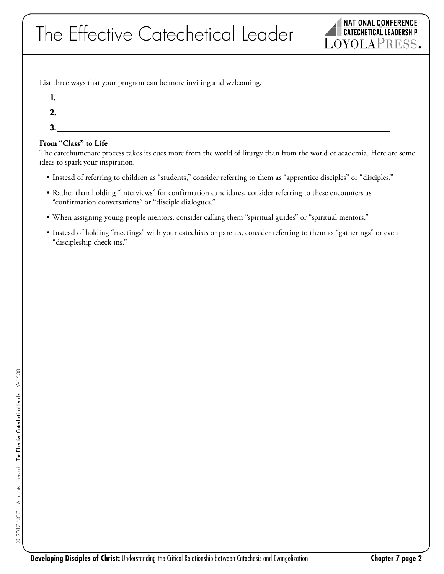List three ways that your program can be more inviting and welcoming.



#### **From "Class" to Life**

The catechumenate process takes its cues more from the world of liturgy than from the world of academia. Here are some ideas to spark your inspiration.

- Instead of referring to children as "students," consider referring to them as "apprentice disciples" or "disciples."
- Rather than holding "interviews" for confirmation candidates, consider referring to these encounters as "confirmation conversations" or "disciple dialogues."
- When assigning young people mentors, consider calling them "spiritual guides" or "spiritual mentors."
- Instead of holding "meetings" with your catechists or parents, consider referring to them as "gatherings" or even "discipleship check-ins."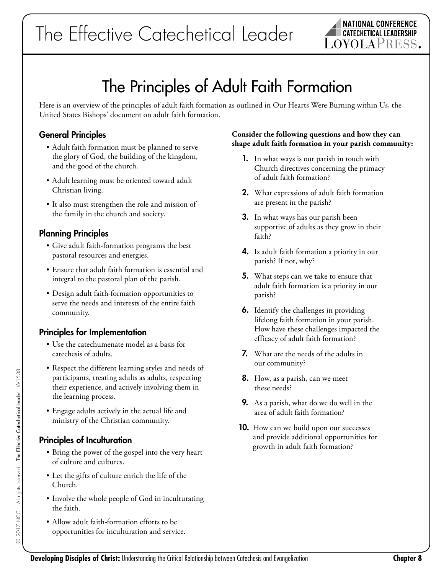

# The Principles of Adult Faith Formation

Here is an overview of the principles of adult faith formation as outlined in Our Hearts Were Burning within Us, the United States Bishops' document on adult faith formation.

# General Principles

- Adult faith formation must be planned to serve the glory of God, the building of the kingdom, and the good of the church.
- Adult learning must be oriented toward adult Christian living.
- It also must strengthen the role and mission of the family in the church and society.

# Planning Principles

- Give adult faith-formation programs the best pastoral resources and energies.
- Ensure that adult faith formation is essential and integral to the pastoral plan of the parish.
- Design adult faith-formation opportunities to serve the needs and interests of the entire faith community.

# Principles for Implementation

- Use the catechumenate model as a basis for catechesis of adults.
- Respect the different learning styles and needs of participants, treating adults as adults, respecting their experience, and actively involving them in the learning process.
- Engage adults actively in the actual life and ministry of the Christian community.

# Principles of Inculturation

- Bring the power of the gospel into the very heart of culture and cultures.
- Let the gifts of culture enrich the life of the Church.
- Involve the whole people of God in inculturating the faith.
- Allow adult faith-formation efforts to be opportunities for inculturation and service.

#### **Consider the following questions and how they can shape adult faith formation in your parish community:**

- 1. In what ways is our parish in touch with Church directives concerning the primacy of adult faith formation?
- 2. What expressions of adult faith formation are present in the parish?
- **3.** In what ways has our parish been supportive of adults as they grow in their faith?
- 4. Is adult faith formation a priority in our parish? If not, why?
- 5. What steps can we **t**ake to ensure that adult faith formation is a priority in our parish?
- 6. Identify the challenges in providing lifelong faith formation in your parish. How have these challenges impacted the efficacy of adult faith formation?
- 7. What are the needs of the adults in our community?
- **8.** How, as a parish, can we meet these needs?
- **9.** As a parish, what do we do well in the area of adult faith formation?
- **10.** How can we build upon our successes and provide additional opportunities for growth in adult faith formation?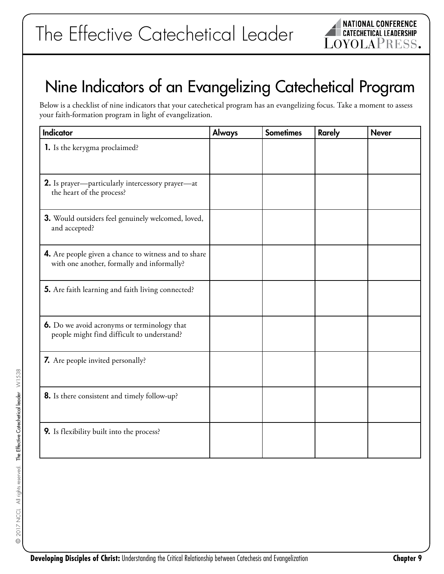# Nine Indicators of an Evangelizing Catechetical Program

Below is a checklist of nine indicators that your catechetical program has an evangelizing focus. Take a moment to assess your faith-formation program in light of evangelization.

| <b>Indicator</b>                                                                                   | <b>Always</b> | <b>Sometimes</b> | <b>Rarely</b> | <b>Never</b> |
|----------------------------------------------------------------------------------------------------|---------------|------------------|---------------|--------------|
| 1. Is the kerygma proclaimed?                                                                      |               |                  |               |              |
| 2. Is prayer-particularly intercessory prayer-at<br>the heart of the process?                      |               |                  |               |              |
| 3. Would outsiders feel genuinely welcomed, loved,<br>and accepted?                                |               |                  |               |              |
| 4. Are people given a chance to witness and to share<br>with one another, formally and informally? |               |                  |               |              |
| 5. Are faith learning and faith living connected?                                                  |               |                  |               |              |
| 6. Do we avoid acronyms or terminology that<br>people might find difficult to understand?          |               |                  |               |              |
| <b>7.</b> Are people invited personally?                                                           |               |                  |               |              |
| 8. Is there consistent and timely follow-up?                                                       |               |                  |               |              |
| 9. Is flexibility built into the process?                                                          |               |                  |               |              |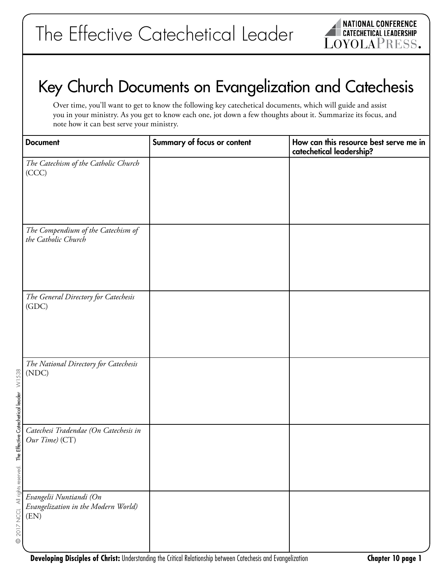# Key Church Documents on Evangelization and Catechesis

Over time, you'll want to get to know the following key catechetical documents, which will guide and assist you in your ministry. As you get to know each one, jot down a few thoughts about it. Summarize its focus, and note how it can best serve your ministry.

| <b>Document</b>                                                        | Summary of focus or content | How can this resource best serve me in<br>catechetical leadership? |
|------------------------------------------------------------------------|-----------------------------|--------------------------------------------------------------------|
| The Catechism of the Catholic Church<br>(CCC)                          |                             |                                                                    |
| The Compendium of the Catechism of<br>the Catholic Church              |                             |                                                                    |
| The General Directory for Catechesis<br>(GDC)                          |                             |                                                                    |
| The National Directory for Catechesis<br>(NDC)                         |                             |                                                                    |
| Catechesi Tradendae (On Catechesis in<br>Our Time) (CT)                |                             |                                                                    |
| Evangelii Nuntiandi (On<br>Evangelization in the Modern World)<br>(EN) |                             |                                                                    |